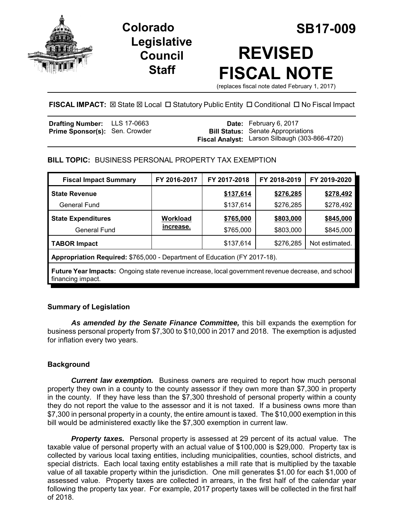

**Legislative Council Staff**

# **Colorado SB17-009 REVISED FISCAL NOTE**

(replaces fiscal note dated February 1, 2017)

## **FISCAL IMPACT: <b>EX State <b>EX** Local □ Statutory Public Entity □ Conditional □ No Fiscal Impact

| <b>Drafting Number:</b> LLS 17-0663   |  | <b>Date:</b> February 6, 2017                  |
|---------------------------------------|--|------------------------------------------------|
| <b>Prime Sponsor(s): Sen. Crowder</b> |  | <b>Bill Status:</b> Senate Appropriations      |
|                                       |  | Fiscal Analyst: Larson Silbaugh (303-866-4720) |

## **BILL TOPIC:** BUSINESS PERSONAL PROPERTY TAX EXEMPTION

| <b>Fiscal Impact Summary</b>                                                                                                   | FY 2016-2017 | FY 2017-2018 | FY 2018-2019 | FY 2019-2020   |  |  |  |
|--------------------------------------------------------------------------------------------------------------------------------|--------------|--------------|--------------|----------------|--|--|--|
| <b>State Revenue</b>                                                                                                           |              | \$137,614    | \$276,285    | \$278,492      |  |  |  |
| General Fund                                                                                                                   |              | \$137,614    | \$276,285    | \$278,492      |  |  |  |
| <b>State Expenditures</b>                                                                                                      | Workload     | \$765,000    | \$803,000    | \$845,000      |  |  |  |
| <b>General Fund</b>                                                                                                            | increase.    | \$765,000    | \$803,000    | \$845,000      |  |  |  |
| <b>TABOR Impact</b>                                                                                                            |              | \$137,614    | \$276,285    | Not estimated. |  |  |  |
| Appropriation Required: \$765,000 - Department of Education (FY 2017-18).                                                      |              |              |              |                |  |  |  |
| <b>Future Year Impacts:</b> Ongoing state revenue increase, local government revenue decrease, and school<br>financing impact. |              |              |              |                |  |  |  |

## **Summary of Legislation**

*As amended by the Senate Finance Committee,* this bill expands the exemption for business personal property from \$7,300 to \$10,000 in 2017 and 2018. The exemption is adjusted for inflation every two years.

## **Background**

*Current law exemption.* Business owners are required to report how much personal property they own in a county to the county assessor if they own more than \$7,300 in property in the county. If they have less than the \$7,300 threshold of personal property within a county they do not report the value to the assessor and it is not taxed. If a business owns more than \$7,300 in personal property in a county, the entire amount is taxed. The \$10,000 exemption in this bill would be administered exactly like the \$7,300 exemption in current law.

*Property taxes.* Personal property is assessed at 29 percent of its actual value. The taxable value of personal property with an actual value of \$100,000 is \$29,000. Property tax is collected by various local taxing entities, including municipalities, counties, school districts, and special districts. Each local taxing entity establishes a mill rate that is multiplied by the taxable value of all taxable property within the jurisdiction. One mill generates \$1.00 for each \$1,000 of assessed value. Property taxes are collected in arrears, in the first half of the calendar year following the property tax year. For example, 2017 property taxes will be collected in the first half of 2018.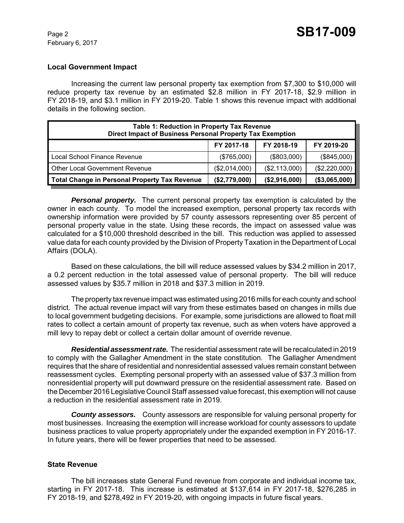### **Local Government Impact**

Increasing the current law personal property tax exemption from \$7,300 to \$10,000 will reduce property tax revenue by an estimated \$2.8 million in FY 2017-18, \$2.9 million in FY 2018-19, and \$3.1 million in FY 2019-20. Table 1 shows this revenue impact with additional details in the following section.

| <b>Table 1: Reduction in Property Tax Revenue</b><br>Direct Impact of Business Personal Property Tax Exemption |               |               |               |  |  |  |
|----------------------------------------------------------------------------------------------------------------|---------------|---------------|---------------|--|--|--|
|                                                                                                                | FY 2017-18    | FY 2018-19    | FY 2019-20    |  |  |  |
| Local School Finance Revenue                                                                                   | (\$765,000)   | (\$803,000)   | (\$845,000)   |  |  |  |
| <b>Other Local Government Revenue</b>                                                                          | (\$2,014,000) | (\$2,113,000) | (\$2,220,000) |  |  |  |
| Total Change in Personal Property Tax Revenue                                                                  | (\$2,779,000) | (\$2,916,000) | (\$3,065,000) |  |  |  |

**Personal property.** The current personal property tax exemption is calculated by the owner in each county. To model the increased exemption, personal property tax records with ownership information were provided by 57 county assessors representing over 85 percent of personal property value in the state. Using these records, the impact on assessed value was calculated for a \$10,000 threshold described in the bill. This reduction was applied to assessed value data for each county provided by the Division of Property Taxation in the Department of Local Affairs (DOLA).

Based on these calculations, the bill will reduce assessed values by \$34.2 million in 2017, a 0.2 percent reduction in the total assessed value of personal property. The bill will reduce assessed values by \$35.7 million in 2018 and \$37.3 million in 2019.

The property tax revenue impact was estimated using 2016 mills for each county and school district. The actual revenue impact will vary from these estimates based on changes in mills due to local government budgeting decisions. For example, some jurisdictions are allowed to float mill rates to collect a certain amount of property tax revenue, such as when voters have approved a mill levy to repay debt or collect a certain dollar amount of override revenue.

*Residential assessment rate.*The residential assessment rate will be recalculated in 2019 to comply with the Gallagher Amendment in the state constitution. The Gallagher Amendment requires that the share of residential and nonresidential assessed values remain constant between reassessment cycles. Exempting personal property with an assessed value of \$37.3 million from nonresidential property will put downward pressure on the residential assessment rate. Based on the December 2016 Legislative Council Staff assessed value forecast, this exemption will not cause a reduction in the residential assessment rate in 2019.

*County assessors.* County assessors are responsible for valuing personal property for most businesses. Increasing the exemption will increase workload for county assessors to update business practices to value property appropriately under the expanded exemption in FY 2016-17. In future years, there will be fewer properties that need to be assessed.

#### **State Revenue**

The bill increases state General Fund revenue from corporate and individual income tax, starting in FY 2017-18. This increase is estimated at \$137,614 in FY 2017-18, \$276,285 in FY 2018-19, and \$278,492 in FY 2019-20, with ongoing impacts in future fiscal years.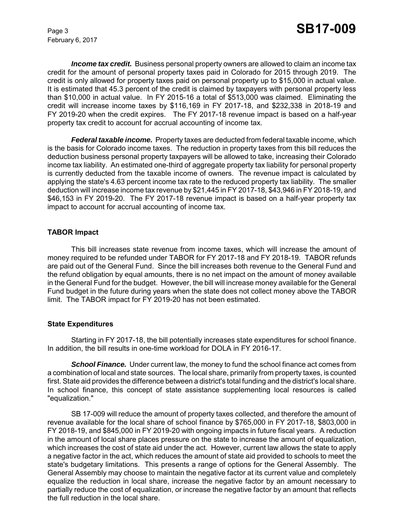February 6, 2017

*Income tax credit.* Business personal property owners are allowed to claim an income tax credit for the amount of personal property taxes paid in Colorado for 2015 through 2019. The credit is only allowed for property taxes paid on personal property up to \$15,000 in actual value. It is estimated that 45.3 percent of the credit is claimed by taxpayers with personal property less than \$10,000 in actual value. In FY 2015-16 a total of \$513,000 was claimed. Eliminating the credit will increase income taxes by \$116,169 in FY 2017-18, and \$232,338 in 2018-19 and FY 2019-20 when the credit expires. The FY 2017-18 revenue impact is based on a half-year property tax credit to account for accrual accounting of income tax.

**Federal taxable income.** Property taxes are deducted from federal taxable income, which is the basis for Colorado income taxes. The reduction in property taxes from this bill reduces the deduction business personal property taxpayers will be allowed to take, increasing their Colorado income tax liability. An estimated one-third of aggregate property tax liability for personal property is currently deducted from the taxable income of owners. The revenue impact is calculated by applying the state's 4.63 percent income tax rate to the reduced property tax liability. The smaller deduction will increase income tax revenue by \$21,445 in FY 2017-18, \$43,946 in FY 2018-19, and \$46,153 in FY 2019-20. The FY 2017-18 revenue impact is based on a half-year property tax impact to account for accrual accounting of income tax.

#### **TABOR Impact**

This bill increases state revenue from income taxes, which will increase the amount of money required to be refunded under TABOR for FY 2017-18 and FY 2018-19. TABOR refunds are paid out of the General Fund. Since the bill increases both revenue to the General Fund and the refund obligation by equal amounts, there is no net impact on the amount of money available in the General Fund for the budget. However, the bill will increase money available for the General Fund budget in the future during years when the state does not collect money above the TABOR limit. The TABOR impact for FY 2019-20 has not been estimated.

#### **State Expenditures**

Starting in FY 2017-18, the bill potentially increases state expenditures for school finance. In addition, the bill results in one-time workload for DOLA in FY 2016-17.

*School Finance.* Under current law, the money to fund the school finance act comes from a combination of local and state sources. The local share, primarily from property taxes, is counted first. State aid provides the difference between a district's total funding and the district's local share. In school finance, this concept of state assistance supplementing local resources is called "equalization."

SB 17-009 will reduce the amount of property taxes collected, and therefore the amount of revenue available for the local share of school finance by \$765,000 in FY 2017-18, \$803,000 in FY 2018-19, and \$845,000 in FY 2019-20 with ongoing impacts in future fiscal years. A reduction in the amount of local share places pressure on the state to increase the amount of equalization, which increases the cost of state aid under the act. However, current law allows the state to apply a negative factor in the act, which reduces the amount of state aid provided to schools to meet the state's budgetary limitations. This presents a range of options for the General Assembly. The General Assembly may choose to maintain the negative factor at its current value and completely equalize the reduction in local share, increase the negative factor by an amount necessary to partially reduce the cost of equalization, or increase the negative factor by an amount that reflects the full reduction in the local share.